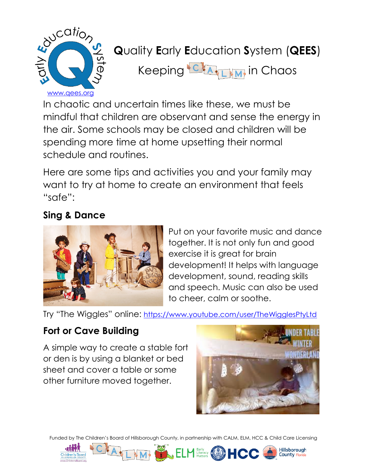

# **Q**uality **E**arly **E**ducation **S**ystem (**QEES**)

Keeping **CALLIM** in Chaos

In chaotic and uncertain times like these, we must be mindful that children are observant and sense the energy in the air. Some schools may be closed and children will be spending more time at home upsetting their normal schedule and routines.

Here are some tips and activities you and your family may want to try at home to create an environment that feels "safe":

## **Sing & Dance**



Put on your favorite music and dance together. It is not only fun and good exercise it is great for brain development! It helps with language development, sound, reading skills and speech. Music can also be used to cheer, calm or soothe.

Try "The Wiggles" online: <https://www.youtube.com/user/TheWigglesPtyLtd>

## **Fort or Cave Building**

A simple way to create a stable fort or den is by using a blanket or bed sheet and cover a table or some other furniture moved together.



Hillshorough

Funded by The Children's Board of Hillsborough County, in partnership with CALM, ELM, HCC & Child Care Licensing





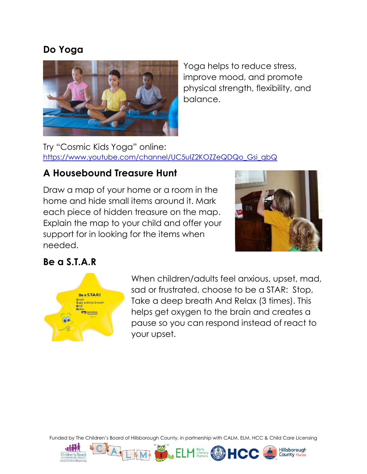### **Do Yoga**



Yoga helps to reduce stress, improve mood, and promote physical strength, flexibility, and balance.

Try "Cosmic Kids Yoga" online: [https://www.youtube.com/channel/UC5uIZ2KOZZeQDQo\\_Gsi\\_qbQ](https://www.youtube.com/channel/UC5uIZ2KOZZeQDQo_Gsi_qbQ)

## **A Housebound Treasure Hunt**

Draw a map of your home or a room in the home and hide small items around it. Mark each piece of hidden treasure on the map. Explain the map to your child and offer your support for in looking for the items when needed.



**Hillsborough** 

County Flo

#### **Be a S.T.A.R**



When children/adults feel anxious, upset, mad, sad or frustrated, choose to be a STAR: Stop, Take a deep breath And Relax (3 times). This helps get oxygen to the brain and creates a pause so you can respond instead of react to your upset.

Funded by The Children's Board of Hillsborough County, in partnership with CALM, ELM, HCC & Child Care Licensing

Early<br>Literacy (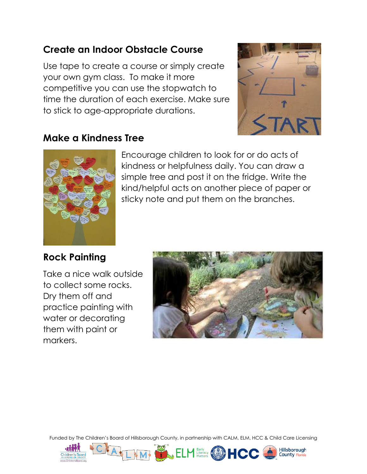## **Create an Indoor Obstacle Course**

Use tape to create a course or simply create your own gym class. To make it more competitive you can use the stopwatch to time the duration of each exercise. Make sure to stick to age-appropriate durations.



Hillshorough

## **Make a Kindness Tree**



Encourage children to look for or do acts of kindness or helpfulness daily. You can draw a simple tree and post it on the fridge. Write the kind/helpful acts on another piece of paper or sticky note and put them on the branches.

## **Rock Painting**

Take a nice walk outside to collect some rocks. Dry them off and practice painting with water or decorating them with paint or markers.



Funded by The Children's Board of Hillsborough County, in partnership with CALM, ELM, HCC & Child Care Licensing